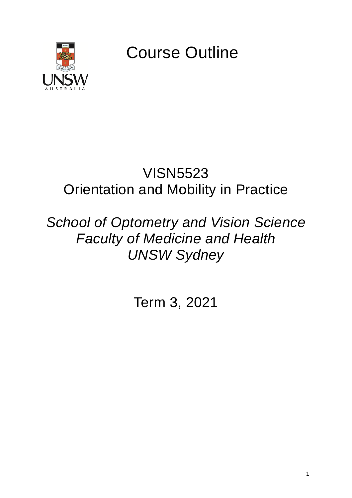

Course Outline

# VISN5523 Orientation and Mobility in Practice

# *School of Optometry and Vision Science Faculty of Medicine and Health UNSW Sydney*

Term 3, 2021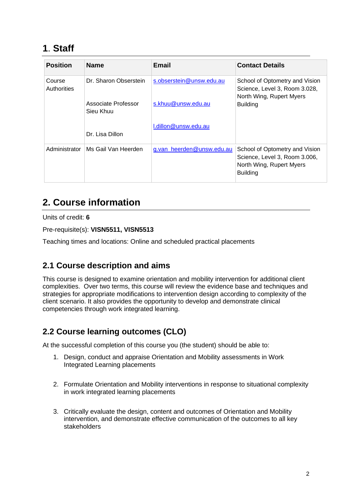# **1**. **Staff**

| <b>Position</b>       | <b>Name</b>                      | <b>Email</b>              | <b>Contact Details</b>                                                                                         |
|-----------------------|----------------------------------|---------------------------|----------------------------------------------------------------------------------------------------------------|
| Course<br>Authorities | Dr. Sharon Obserstein            | s.obserstein@unsw.edu.au  | School of Optometry and Vision<br>Science, Level 3, Room 3.028,<br>North Wing, Rupert Myers                    |
|                       | Associate Professor<br>Sieu Khuu | s.khuu@unsw.edu.au        | <b>Building</b>                                                                                                |
|                       | Dr. Lisa Dillon                  | I.dillon@unsw.edu.au      |                                                                                                                |
| Administrator         | Ms Gail Van Heerden              | g.van_heerden@unsw.edu.au | School of Optometry and Vision<br>Science, Level 3, Room 3.006,<br>North Wing, Rupert Myers<br><b>Building</b> |

## **2. Course information**

Units of credit: **6**

Pre-requisite(s): **VISN5511, VISN5513**

Teaching times and locations: Online and scheduled practical placements

### **2.1 Course description and aims**

This course is designed to examine orientation and mobility intervention for additional client complexities. Over two terms, this course will review the evidence base and techniques and strategies for appropriate modifications to intervention design according to complexity of the client scenario. It also provides the opportunity to develop and demonstrate clinical competencies through work integrated learning.

### **2.2 Course learning outcomes (CLO)**

At the successful completion of this course you (the student) should be able to:

- 1. Design, conduct and appraise Orientation and Mobility assessments in Work Integrated Learning placements
- 2. Formulate Orientation and Mobility interventions in response to situational complexity in work integrated learning placements
- 3. Critically evaluate the design, content and outcomes of Orientation and Mobility intervention, and demonstrate effective communication of the outcomes to all key stakeholders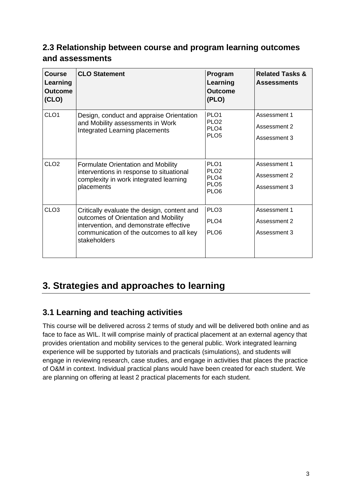### **2.3 Relationship between course and program learning outcomes and assessments**

| <b>Course</b><br>Learning<br><b>Outcome</b><br>(CLO) | <b>CLO Statement</b>                                                                                                                                                                       | Program<br>Learning<br><b>Outcome</b><br>(PLO)                                                   | <b>Related Tasks &amp;</b><br><b>Assessments</b> |
|------------------------------------------------------|--------------------------------------------------------------------------------------------------------------------------------------------------------------------------------------------|--------------------------------------------------------------------------------------------------|--------------------------------------------------|
| CLO <sub>1</sub>                                     | Design, conduct and appraise Orientation<br>and Mobility assessments in Work<br>Integrated Learning placements                                                                             | PLO <sub>1</sub><br>PLO <sub>2</sub><br>PLO <sub>4</sub><br>PLO <sub>5</sub>                     | Assessment 1<br>Assessment 2<br>Assessment 3     |
| CLO2                                                 | <b>Formulate Orientation and Mobility</b><br>interventions in response to situational<br>complexity in work integrated learning<br>placements                                              | PLO <sub>1</sub><br>PLO <sub>2</sub><br>PLO <sub>4</sub><br>PLO <sub>5</sub><br>PLO <sub>6</sub> | Assessment 1<br>Assessment 2<br>Assessment 3     |
| CLO <sub>3</sub>                                     | Critically evaluate the design, content and<br>outcomes of Orientation and Mobility<br>intervention, and demonstrate effective<br>communication of the outcomes to all key<br>stakeholders | PLO <sub>3</sub><br>PLO <sub>4</sub><br>PLO <sub>6</sub>                                         | Assessment 1<br>Assessment 2<br>Assessment 3     |

# **3. Strategies and approaches to learning**

### **3.1 Learning and teaching activities**

This course will be delivered across 2 terms of study and will be delivered both online and as face to face as WIL. It will comprise mainly of practical placement at an external agency that provides orientation and mobility services to the general public. Work integrated learning experience will be supported by tutorials and practicals (simulations), and students will engage in reviewing research, case studies, and engage in activities that places the practice of O&M in context. Individual practical plans would have been created for each student. We are planning on offering at least 2 practical placements for each student.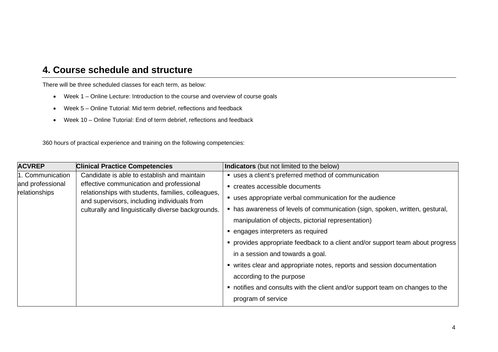### **4. Course schedule and structure**

There will be three scheduled classes for each term, as below:

- Week 1 Online Lecture: Introduction to the course and overview of course goals
- Week 5 Online Tutorial: Mid term debrief, reflections and feedback
- Week 10 Online Tutorial: End of term debrief, reflections and feedback

360 hours of practical experience and training on the following competencies:

| <b>ACVREP</b>    | <b>Clinical Practice Competencies</b>                                                                                                                                                               | Indicators (but not limited to the below)                                      |
|------------------|-----------------------------------------------------------------------------------------------------------------------------------------------------------------------------------------------------|--------------------------------------------------------------------------------|
| 1. Communication | Candidate is able to establish and maintain                                                                                                                                                         | " uses a client's preferred method of communication                            |
| and professional | effective communication and professional<br>relationships with students, families, colleagues,<br>and supervisors, including individuals from<br>culturally and linguistically diverse backgrounds. | creates accessible documents                                                   |
| relationships    |                                                                                                                                                                                                     | " uses appropriate verbal communication for the audience                       |
|                  |                                                                                                                                                                                                     | • has awareness of levels of communication (sign, spoken, written, gestural,   |
|                  |                                                                                                                                                                                                     | manipulation of objects, pictorial representation)                             |
|                  |                                                                                                                                                                                                     | • engages interpreters as required                                             |
|                  |                                                                                                                                                                                                     | • provides appropriate feedback to a client and/or support team about progress |
|                  |                                                                                                                                                                                                     | in a session and towards a goal.                                               |
|                  |                                                                                                                                                                                                     | • writes clear and appropriate notes, reports and session documentation        |
|                  |                                                                                                                                                                                                     | according to the purpose                                                       |
|                  |                                                                                                                                                                                                     | • notifies and consults with the client and/or support team on changes to the  |
|                  |                                                                                                                                                                                                     | program of service                                                             |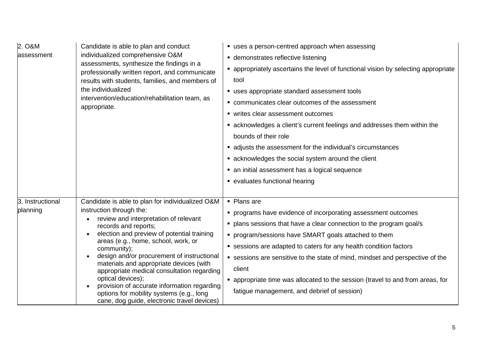| 2. O&M<br>assessment         | Candidate is able to plan and conduct<br>individualized comprehensive O&M<br>assessments, synthesize the findings in a<br>professionally written report, and communicate<br>results with students, families, and members of<br>the individualized<br>intervention/education/rehabilitation team, as<br>appropriate.                                                                                                                                                                                                                                                               | " uses a person-centred approach when assessing<br>• demonstrates reflective listening<br>• appropriately ascertains the level of functional vision by selecting appropriate<br>tool<br>■ uses appropriate standard assessment tools<br>• communicates clear outcomes of the assessment<br>■ writes clear assessment outcomes<br>• acknowledges a client's current feelings and addresses them within the<br>bounds of their role<br>adjusts the assessment for the individual's circumstances<br>• acknowledges the social system around the client<br>• an initial assessment has a logical sequence<br>• evaluates functional hearing |
|------------------------------|-----------------------------------------------------------------------------------------------------------------------------------------------------------------------------------------------------------------------------------------------------------------------------------------------------------------------------------------------------------------------------------------------------------------------------------------------------------------------------------------------------------------------------------------------------------------------------------|------------------------------------------------------------------------------------------------------------------------------------------------------------------------------------------------------------------------------------------------------------------------------------------------------------------------------------------------------------------------------------------------------------------------------------------------------------------------------------------------------------------------------------------------------------------------------------------------------------------------------------------|
| 3. Instructional<br>planning | Candidate is able to plan for individualized O&M<br>instruction through the:<br>review and interpretation of relevant<br>records and reports;<br>election and preview of potential training<br>$\bullet$<br>areas (e.g., home, school, work, or<br>community);<br>design and/or procurement of instructional<br>$\bullet$<br>materials and appropriate devices (with<br>appropriate medical consultation regarding<br>optical devices);<br>provision of accurate information regarding<br>options for mobility systems (e.g., long<br>cane, dog guide, electronic travel devices) | • Plans are<br>• programs have evidence of incorporating assessment outcomes<br>• plans sessions that have a clear connection to the program goal/s<br>• program/sessions have SMART goals attached to them<br>• sessions are adapted to caters for any health condition factors<br>• sessions are sensitive to the state of mind, mindset and perspective of the<br>client<br>• appropriate time was allocated to the session (travel to and from areas, for<br>fatigue management, and debrief of session)                                                                                                                             |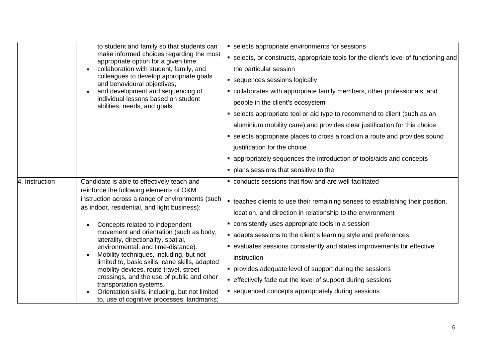|                | to student and family so that students can<br>make informed choices regarding the most<br>appropriate option for a given time;<br>collaboration with student, family, and<br>colleagues to develop appropriate goals<br>and behavioural objectives;<br>and development and sequencing of<br>individual lessons based on student<br>abilities, needs, and goals.                                                                                                                                                                                                                                                                                                       | • selects appropriate environments for sessions<br>• selects, or constructs, appropriate tools for the client's level of functioning and<br>the particular session<br>• sequences sessions logically<br>• collaborates with appropriate family members, other professionals, and<br>people in the client's ecosystem<br>• selects appropriate tool or aid type to recommend to client (such as an<br>aluminium mobility cane) and provides clear justification for this choice<br>• selects appropriate places to cross a road on a route and provides sound<br>justification for the choice<br>• appropriately sequences the introduction of tools/aids and concepts<br>• plans sessions that sensitive to the |
|----------------|-----------------------------------------------------------------------------------------------------------------------------------------------------------------------------------------------------------------------------------------------------------------------------------------------------------------------------------------------------------------------------------------------------------------------------------------------------------------------------------------------------------------------------------------------------------------------------------------------------------------------------------------------------------------------|-----------------------------------------------------------------------------------------------------------------------------------------------------------------------------------------------------------------------------------------------------------------------------------------------------------------------------------------------------------------------------------------------------------------------------------------------------------------------------------------------------------------------------------------------------------------------------------------------------------------------------------------------------------------------------------------------------------------|
| 4. Instruction | Candidate is able to effectively teach and<br>reinforce the following elements of O&M<br>instruction across a range of environments (such<br>as indoor, residential, and light business):<br>Concepts related to independent<br>movement and orientation (such as body,<br>laterality, directionality, spatial,<br>environmental, and time-distance).<br>Mobility techniques, including, but not<br>limited to, basic skills, cane skills, adapted<br>mobility devices, route travel, street<br>crossings, and the use of public and other<br>transportation systems.<br>Orientation skills, including, but not limited<br>to, use of cognitive processes; landmarks; | • conducts sessions that flow and are well facilitated<br>• teaches clients to use their remaining senses to establishing their position,<br>location, and direction in relationship to the environment<br>• consistently uses appropriate tools in a session<br>• adapts sessions to the client's learning style and preferences<br>• evaluates sessions consistently and states improvements for effective<br>instruction<br>• provides adequate level of support during the sessions<br>• effectively fade out the level of support during sessions<br>■ sequenced concepts appropriately during sessions                                                                                                    |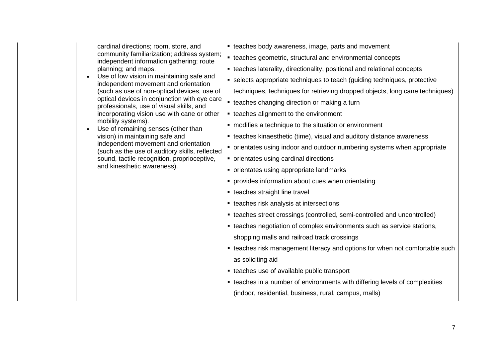cardinal directions; room, store, and community familiarization; address system; independent information gathering; route planning; and maps.

- Use of low vision in maintaining safe and independent movement and orientation (such as use of non-optical devices, use of optical devices in conjunction with eye care professionals, use of visual skills, and incorporating vision use with cane or other mobility systems).
- Use of remaining senses (other than vision) in maintaining safe and independent movement and orientation (such as the use of auditory skills, reflected sound, tactile recognition, proprioceptive, and kinesthetic awareness).
- **EXEC** teaches body awareness, image, parts and movement
- teaches geometric, structural and environmental concepts
- teaches laterality, directionality, positional and relational concepts
- selects appropriate techniques to teach (guiding techniques, protective techniques, techniques for retrieving dropped objects, long cane techniques)
- **teaches changing direction or making a turn**
- teaches alignment to the environment
- modifies a technique to the situation or environment
- **EXECTE:** teaches kinaesthetic (time), visual and auditory distance awareness
- orientates using indoor and outdoor numbering systems when appropriate
- orientates using cardinal directions
- orientates using appropriate landmarks
- provides information about cues when orientating
- teaches straight line travel
- **teaches risk analysis at intersections**
- teaches street crossings (controlled, semi-controlled and uncontrolled)
- teaches negotiation of complex environments such as service stations, shopping malls and railroad track crossings
- **EXECTE FIELD FIELD FIELD FIELD FIELD** teaches risk management literacy and options for when not comfortable such as soliciting aid
- teaches use of available public transport
- teaches in a number of environments with differing levels of complexities (indoor, residential, business, rural, campus, malls)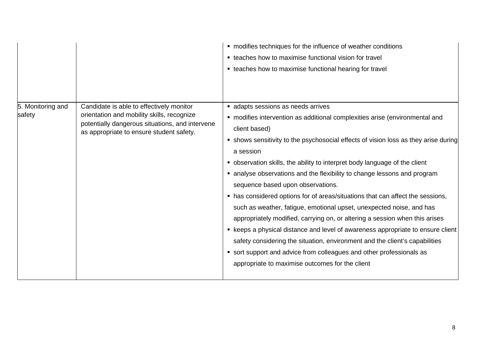|                             |                                                                                                                                                                                       | • modifies techniques for the influence of weather conditions                                                                                                                                                                                                                                                                                                                                                                                                                                                                                                           |
|-----------------------------|---------------------------------------------------------------------------------------------------------------------------------------------------------------------------------------|-------------------------------------------------------------------------------------------------------------------------------------------------------------------------------------------------------------------------------------------------------------------------------------------------------------------------------------------------------------------------------------------------------------------------------------------------------------------------------------------------------------------------------------------------------------------------|
|                             |                                                                                                                                                                                       | • teaches how to maximise functional vision for travel                                                                                                                                                                                                                                                                                                                                                                                                                                                                                                                  |
|                             |                                                                                                                                                                                       | • teaches how to maximise functional hearing for travel                                                                                                                                                                                                                                                                                                                                                                                                                                                                                                                 |
| 5. Monitoring and<br>safety | Candidate is able to effectively monitor<br>orientation and mobility skills, recognize<br>potentially dangerous situations, and intervene<br>as appropriate to ensure student safety. | adapts sessions as needs arrives<br>• modifies intervention as additional complexities arise (environmental and<br>client based)<br>• shows sensitivity to the psychosocial effects of vision loss as they arise during<br>a session<br>• observation skills, the ability to interpret body language of the client                                                                                                                                                                                                                                                      |
|                             |                                                                                                                                                                                       | • analyse observations and the flexibility to change lessons and program                                                                                                                                                                                                                                                                                                                                                                                                                                                                                                |
|                             |                                                                                                                                                                                       | sequence based upon observations.<br>• has considered options for of areas/situations that can affect the sessions,<br>such as weather, fatigue, emotional upset, unexpected noise, and has<br>appropriately modified, carrying on, or altering a session when this arises<br>• keeps a physical distance and level of awareness appropriate to ensure client<br>safety considering the situation, environment and the client's capabilities<br>• sort support and advice from colleagues and other professionals as<br>appropriate to maximise outcomes for the client |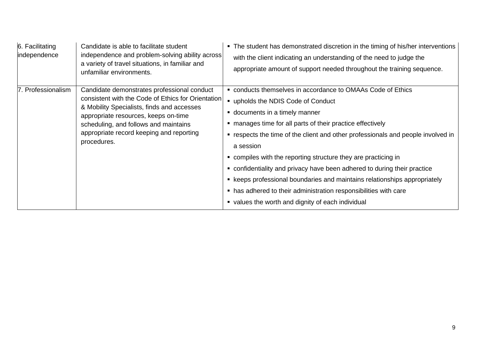| 6. Facilitating<br>independence | Candidate is able to facilitate student<br>independence and problem-solving ability across<br>a variety of travel situations, in familiar and<br>unfamiliar environments.                                                                                                                   | • The student has demonstrated discretion in the timing of his/her interventions<br>with the client indicating an understanding of the need to judge the<br>appropriate amount of support needed throughout the training sequence.                                                                                                                                                                                                                                                                                                                                                                                                         |
|---------------------------------|---------------------------------------------------------------------------------------------------------------------------------------------------------------------------------------------------------------------------------------------------------------------------------------------|--------------------------------------------------------------------------------------------------------------------------------------------------------------------------------------------------------------------------------------------------------------------------------------------------------------------------------------------------------------------------------------------------------------------------------------------------------------------------------------------------------------------------------------------------------------------------------------------------------------------------------------------|
| 7. Professionalism              | Candidate demonstrates professional conduct<br>consistent with the Code of Ethics for Orientation<br>& Mobility Specialists, finds and accesses<br>appropriate resources, keeps on-time<br>scheduling, and follows and maintains<br>appropriate record keeping and reporting<br>procedures. | ■ conducts themselves in accordance to OMAAs Code of Ethics<br>upholds the NDIS Code of Conduct<br>documents in a timely manner<br>manages time for all parts of their practice effectively<br>" respects the time of the client and other professionals and people involved in<br>a session<br>ompiles with the reporting structure they are practicing in<br>onfidentiality and privacy have been adhered to during their practice<br>• keeps professional boundaries and maintains relationships appropriately<br>• has adhered to their administration responsibilities with care<br>• values the worth and dignity of each individual |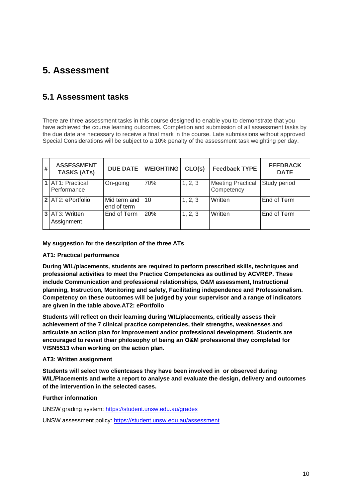## **5. Assessment**

#### **5.1 Assessment tasks**

There are three assessment tasks in this course designed to enable you to demonstrate that you have achieved the course learning outcomes. Completion and submission of all assessment tasks by the due date are necessary to receive a final mark in the course. Late submissions without approved Special Considerations will be subject to a 10% penalty of the assessment task weighting per day.

| # | <b>ASSESSMENT</b><br><b>TASKS (ATs)</b> | <b>DUE DATE</b>             | <b>WEIGHTING</b> | CLO(s)  | <b>Feedback TYPE</b>                   | <b>FEEDBACK</b><br><b>DATE</b> |
|---|-----------------------------------------|-----------------------------|------------------|---------|----------------------------------------|--------------------------------|
|   | 1 AT1: Practical<br>Performance         | On-going                    | 70%              | 1, 2, 3 | <b>Meeting Practical</b><br>Competency | Study period                   |
|   | 2 AT2: ePortfolio                       | Mid term and<br>end of term | 10               | 1, 2, 3 | Written                                | End of Term                    |
|   | 3 AT3: Written<br>Assignment            | End of Term                 | 20%              | 1, 2, 3 | Written                                | End of Term                    |

#### **My suggestion for the description of the three ATs**

#### **AT1: Practical performance**

**During WIL/placements, students are required to perform prescribed skills, techniques and professional activities to meet the Practice Competencies as outlined by ACVREP. These include Communication and professional relationships, O&M assessment, Instructional planning, Instruction, Monitoring and safety, Facilitating independence and Professionalism. Competency on these outcomes will be judged by your supervisor and a range of indicators are given in the table above.AT2: ePortfolio**

**Students will reflect on their learning during WIL/placements, critically assess their achievement of the 7 clinical practice competencies, their strengths, weaknesses and articulate an action plan for improvement and/or professional development. Students are encouraged to revisit their philosophy of being an O&M professional they completed for VISN5513 when working on the action plan.**

#### **AT3: Written assignment**

**Students will select two clientcases they have been involved in or observed during WIL/Placements and write a report to analyse and evaluate the design, delivery and outcomes of the intervention in the selected cases.**

#### **Further information**

UNSW grading system:<https://student.unsw.edu.au/grades>

UNSW assessment policy:<https://student.unsw.edu.au/assessment>